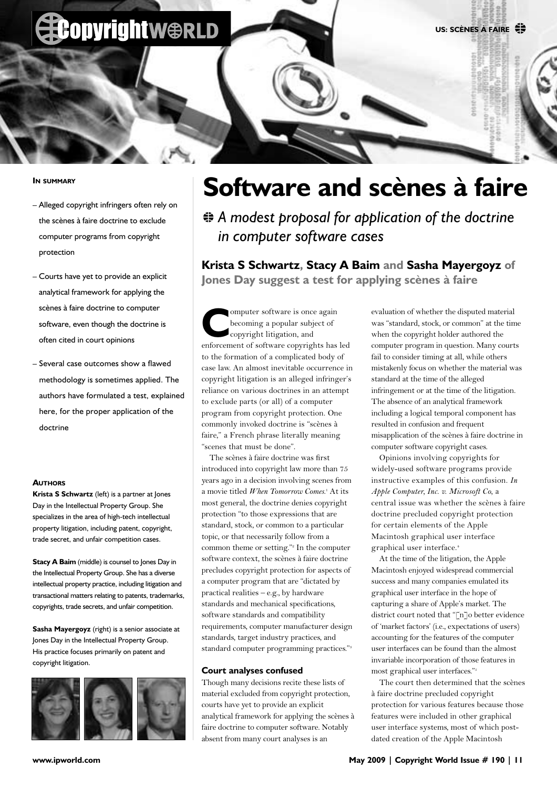

#### **IN SUMMARY**

- Alleged copyright infringers often rely on the scènes à faire doctrine to exclude computer programs from copyright protection
- Courts have yet to provide an explicit analytical framework for applying the scènes à faire doctrine to computer software, even though the doctrine is often cited in court opinions
- Several case outcomes show a flawed methodology is sometimes applied. The authors have formulated a test, explained here, for the proper application of the doctrine

#### **AUTHORS**

**Krista S Schwartz** (left) is a partner at Jones Day in the Intellectual Property Group. She specializes in the area of high-tech intellectual property litigation, including patent, copyright, trade secret, and unfair competition cases.

**Stacy A Baim** (middle) is counsel to Jones Day in the Intellectual Property Group. She has a diverse intellectual property practice, including litigation and transactional matters relating to patents, trademarks, copyrights, trade secrets, and unfair competition.

**Sasha Mayergoyz** (right) is a senior associate at Jones Day in the Intellectual Property Group. His practice focuses primarily on patent and copyright litigation.



## **Software and scènes à faire**

 $\triangleq$  **A modest proposal for application of the doctrine** *in computer software cases*

**Krista S Schwartz, Stacy A Baim and Sasha Mayergoyz of Jones Day suggest a test for applying scènes à faire**

omputer software is once again becoming a popular subject of copyright litigation, and enforcement of software copyrights has led to the formation of a complicated body of case law. An almost inevitable occurrence in copyright litigation is an alleged infringer's reliance on various doctrines in an attempt to exclude parts (or all) of a computer program from copyright protection. One commonly invoked doctrine is "scènes à faire," a French phrase literally meaning "scenes that must be done".

The scènes à faire doctrine was first introduced into copyright law more than 75 years ago in a decision involving scenes from a movie titled *When Tomorrow Comes*. <sup>1</sup> At its most general, the doctrine denies copyright protection "to those expressions that are standard, stock, or common to a particular topic, or that necessarily follow from a common theme or setting."<sup>2</sup> In the computer software context, the scènes à faire doctrine precludes copyright protection for aspects of a computer program that are "dictated by practical realities – e.g., by hardware standards and mechanical specifications, software standards and compatibility requirements, computer manufacturer design standards, target industry practices, and standard computer programming practices."3

### **Court analyses confused**

Though many decisions recite these lists of material excluded from copyright protection, courts have yet to provide an explicit analytical framework for applying the scènes à faire doctrine to computer software. Notably absent from many court analyses is an

evaluation of whether the disputed material was "standard, stock, or common" at the time when the copyright holder authored the computer program in question. Many courts fail to consider timing at all, while others mistakenly focus on whether the material was standard at the time of the alleged infringement or at the time of the litigation. The absence of an analytical framework including a logical temporal component has resulted in confusion and frequent misapplication of the scènes à faire doctrine in computer software copyright cases.

Opinions involving copyrights for widely-used software programs provide instructive examples of this confusion. *In Apple Computer, Inc. v. Microsoft Co*, a central issue was whether the scènes à faire doctrine precluded copyright protection for certain elements of the Apple Macintosh graphical user interface graphical user interface.<sup>4</sup>

At the time of the litigation, the Apple Macintosh enjoyed widespread commercial success and many companies emulated its graphical user interface in the hope of capturing a share of Apple's market. The district court noted that "[n]o better evidence of 'market factors' (i.e., expectations of users) accounting for the features of the computer user interfaces can be found than the almost invariable incorporation of those features in most graphical user interfaces."5

The court then determined that the scènes à faire doctrine precluded copyright protection for various features because those features were included in other graphical user interface systems, most of which postdated creation of the Apple Macintosh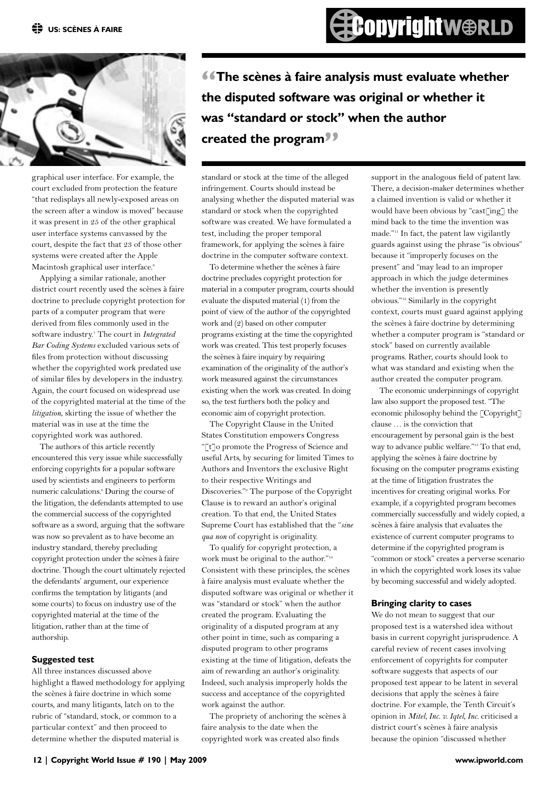

graphical user interface. For example, the court excluded from protection the feature "that redisplays all newly-exposed areas on the screen after a window is moved" because it was present in 25 of the other graphical user interface systems canvassed by the court, despite the fact that 23 of those other systems were created after the Apple Macintosh graphical user interface.<sup>6</sup>

Applying a similar rationale, another district court recently used the scènes à faire doctrine to preclude copyright protection for parts of a computer program that were derived from files commonly used in the software industry.7 The court in *Integrated Bar Coding Systems* excluded various sets of files from protection without discussing whether the copyrighted work predated use of similar files by developers in the industry. Again, the court focused on widespread use of the copyrighted material at the time of the *litigation*, skirting the issue of whether the material was in use at the time the copyrighted work was authored.

The authors of this article recently encountered this very issue while successfully enforcing copyrights for a popular software used by scientists and engineers to perform numeric calculations.<sup>8</sup> During the course of the litigation, the defendants attempted to use the commercial success of the copyrighted software as a sword, arguing that the software was now so prevalent as to have become an industry standard, thereby precluding copyright protection under the scènes à faire doctrine. Though the court ultimately rejected the defendants' argument, our experience confirms the temptation by litigants (and some courts) to focus on industry use of the copyrighted material at the time of the litigation, rather than at the time of authorship.

### **Suggested test**

All three instances discussed above highlight a flawed methodology for applying the scènes à faire doctrine in which some courts, and many litigants, latch on to the rubric of "standard, stock, or common to a particular context" and then proceed to determine whether the disputed material is

*I***The scènes à faire analysis must evaluate whether the disputed software was original or whether it was "standard or stock" when the author created the program"**

standard or stock at the time of the alleged infringement. Courts should instead be analysing whether the disputed material was standard or stock when the copyrighted software was created. We have formulated a test, including the proper temporal framework, for applying the scènes à faire doctrine in the computer software context.

To determine whether the scènes à faire doctrine precludes copyright protection for material in a computer program, courts should evaluate the disputed material (1) from the point of view of the author of the copyrighted work and (2) based on other computer programs existing at the time the copyrighted work was created. This test properly focuses the scènes à faire inquiry by requiring examination of the originality of the author's work measured against the circumstances existing when the work was created. In doing so, the test furthers both the policy and economic aim of copyright protection.

The Copyright Clause in the United States Constitution empowers Congress "[t]o promote the Progress of Science and useful Arts, by securing for limited Times to Authors and Inventors the exclusive Right to their respective Writings and Discoveries."9 The purpose of the Copyright Clause is to reward an author's original creation. To that end, the United States Supreme Court has established that the "*sine qua non* of copyright is originality.

To qualify for copyright protection, a work must be original to the author."<sup>10</sup> Consistent with these principles, the scènes à faire analysis must evaluate whether the disputed software was original or whether it was "standard or stock" when the author created the program. Evaluating the originality of a disputed program at any other point in time, such as comparing a disputed program to other programs existing at the time of litigation, defeats the aim of rewarding an author's originality. Indeed, such analysis improperly holds the success and acceptance of the copyrighted work against the author.

The propriety of anchoring the scènes à faire analysis to the date when the copyrighted work was created also finds

support in the analogous field of patent law. There, a decision-maker determines whether a claimed invention is valid or whether it would have been obvious by "cast[ing] the mind back to the time the invention was made."11 In fact, the patent law vigilantly guards against using the phrase "is obvious" because it "improperly focuses on the present" and "may lead to an improper approach in which the judge determines whether the invention is presently obvious."12 Similarly in the copyright context, courts must guard against applying the scènes à faire doctrine by determining whether a computer program is "standard or stock" based on currently available programs. Rather, courts should look to what was standard and existing when the author created the computer program.

The economic underpinnings of copyright law also support the proposed test. "The economic philosophy behind the [Copyright] clause … is the conviction that encouragement by personal gain is the best way to advance public welfare."<sup>13</sup> To that end, applying the scènes à faire doctrine by focusing on the computer programs existing at the time of litigation frustrates the incentives for creating original works. For example, if a copyrighted program becomes commercially successfully and widely copied, a scènes à faire analysis that evaluates the existence of current computer programs to determine if the copyrighted program is "common or stock" creates a perverse scenario in which the copyrighted work loses its value by becoming successful and widely adopted.

#### **Bringing clarity to cases**

We do not mean to suggest that our proposed test is a watershed idea without basis in current copyright jurisprudence. A careful review of recent cases involving enforcement of copyrights for computer software suggests that aspects of our proposed test appear to be latent in several decisions that apply the scènes à faire doctrine. For example, the Tenth Circuit's opinion in *Mitel, Inc. v. Iqtel, Inc.* criticised a district court's scènes à faire analysis because the opinion "discussed whether